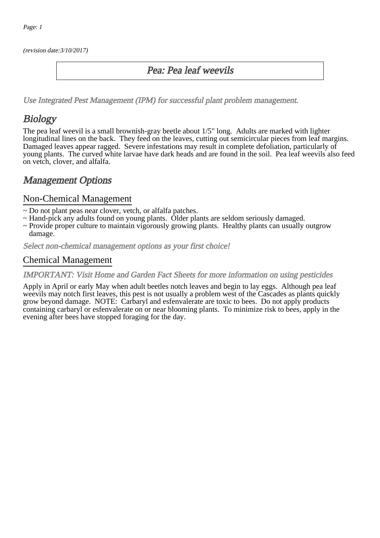(revision date:3/10/2017)

### Pea: Pea leaf weevils

[Use Integrated Pest Management \(IPM\) for successful plant problem management.](http://pep.wsu.edu/Home_Garden/H_G_Pesticide_info/urban_Integrated_Pest_Managmen/)

## **Biology**

The pea leaf weevil is a small brownish-gray beetle about 1/5" long. Adults are marked with lighter longitudinal lines on the back. They feed on the leaves, cutting out semicircular pieces from leaf margins. Damaged leaves appear ragged. Severe infestations may result in complete defoliation, particularly of young plants. The curved white larvae have dark heads and are found in the soil. Pea leaf weevils also feed on vetch, clover, and alfalfa.

## Management Options

### Non-Chemical Management

- ~ Do not plant peas near clover, vetch, or alfalfa patches.
- ~ Hand-pick any adults found on young plants. Older plants are seldom seriously damaged.
- ~ Provide proper culture to maintain vigorously growing plants. Healthy plants can usually outgrow damage.

Select non-chemical management options as your first choice!

### Chemical Management

#### IMPORTANT: [Visit Home and Garden Fact Sheets for more information on using pesticides](http://pep.wsu.edu/Home_Garden/H_G_Pesticide_info/)

Apply in April or early May when adult beetles notch leaves and begin to lay eggs. Although pea leaf weevils may notch first leaves, this pest is not usually a problem west of the Cascades as plants quickly grow beyond damage. NOTE: Carbaryl and esfenvalerate are toxic to bees. Do not apply products containing carbaryl or esfenvalerate on or near blooming plants. To minimize risk to bees, apply in the evening after bees have stopped foraging for the day.